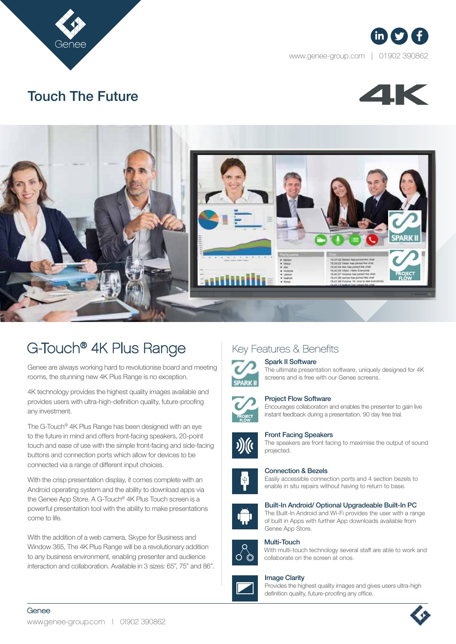



www.genee-group.com | 01902 390862



# Touch The Future



# G-Touch® 4K Plus Range

Genee are always working hard to revolutionise board and meeting rooms, the stunning new 4K Plus Range is no exception.

4K technology provides the highest quality images available and provides users with ultra-high-definition quality, future-proofing any investment.

The G-Touch® 4K Plus Range has been designed with an eye to the future in mind and offers front-facing speakers, 20-point touch and ease of use with the simple front-facing and side-facing buttons and connection ports which allow for devices to be connected via a range of different input choices.

With the crisp presentation display, it comes complete with an Android operating system and the ability to download apps via the Genee App Store. A G-Touch® 4K Plus Touch screen is a powerful presentation tool with the ability to make presentations come to life.

With the addition of a web camera, Skype for Business and Window 365, The 4K Plus Range will be a revolutionary addition to any business environment, enabling presenter and audience interaction and collaboration. Available in 3 sizes: 65", 75" and 86".

## Key Features & Benefits

### Spark II Software

The ultimate presentation software, uniquely designed for 4K screens and is free with our Genee screens.



### Project Flow Software

Encourages collaboration and enables the presenter to gain live instant feedback during a presentation. 90 day free trial.



#### Front Facing Speakers

The speakers are front facing to maximise the output of sound projected.



### Connection & Bezels

Easily accessible connection ports and 4 section bezels to enable in situ repairs without having to return to base.



#### Built-In Android/ Optional Upgradeable Built-In PC

The Built-In Android and Wi-Fi provides the user with a range of built in Apps with further App downloads available from Genee App Store.



#### Multi-Touch With multi-touch technology several staff are able to work and



#### Image Clarity

Provides the highest quality images and gives users ultra-high definition quality, future-proofing any office.



Genee